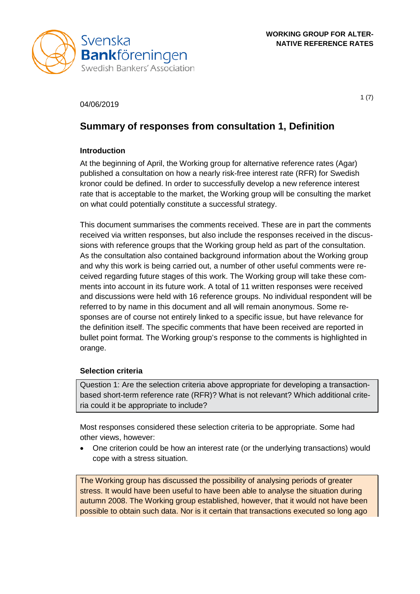

### 04/06/2019

 $1(7)$ 

# **Summary of responses from consultation 1, Definition**

## **Introduction**

At the beginning of April, the Working group for alternative reference rates (Agar) published a consultation on how a nearly risk-free interest rate (RFR) for Swedish kronor could be defined. In order to successfully develop a new reference interest rate that is acceptable to the market, the Working group will be consulting the market on what could potentially constitute a successful strategy.

This document summarises the comments received. These are in part the comments received via written responses, but also include the responses received in the discussions with reference groups that the Working group held as part of the consultation. As the consultation also contained background information about the Working group and why this work is being carried out, a number of other useful comments were received regarding future stages of this work. The Working group will take these comments into account in its future work. A total of 11 written responses were received and discussions were held with 16 reference groups. No individual respondent will be referred to by name in this document and all will remain anonymous. Some responses are of course not entirely linked to a specific issue, but have relevance for the definition itself. The specific comments that have been received are reported in bullet point format. The Working group's response to the comments is highlighted in orange.

## **Selection criteria**

Question 1: Are the selection criteria above appropriate for developing a transactionbased short-term reference rate (RFR)? What is not relevant? Which additional criteria could it be appropriate to include?

Most responses considered these selection criteria to be appropriate. Some had other views, however:

• One criterion could be how an interest rate (or the underlying transactions) would cope with a stress situation.

The Working group has discussed the possibility of analysing periods of greater stress. It would have been useful to have been able to analyse the situation during autumn 2008. The Working group established, however, that it would not have been possible to obtain such data. Nor is it certain that transactions executed so long ago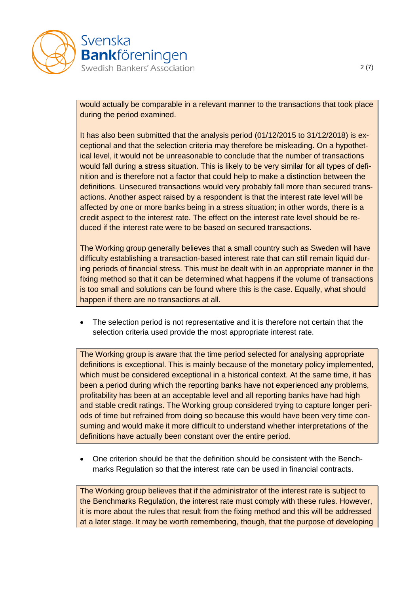

would actually be comparable in a relevant manner to the transactions that took place during the period examined.

It has also been submitted that the analysis period (01/12/2015 to 31/12/2018) is exceptional and that the selection criteria may therefore be misleading. On a hypothetical level, it would not be unreasonable to conclude that the number of transactions would fall during a stress situation. This is likely to be very similar for all types of definition and is therefore not a factor that could help to make a distinction between the definitions. Unsecured transactions would very probably fall more than secured transactions. Another aspect raised by a respondent is that the interest rate level will be affected by one or more banks being in a stress situation; in other words, there is a credit aspect to the interest rate. The effect on the interest rate level should be reduced if the interest rate were to be based on secured transactions.

The Working group generally believes that a small country such as Sweden will have difficulty establishing a transaction-based interest rate that can still remain liquid during periods of financial stress. This must be dealt with in an appropriate manner in the fixing method so that it can be determined what happens if the volume of transactions is too small and solutions can be found where this is the case. Equally, what should happen if there are no transactions at all.

The selection period is not representative and it is therefore not certain that the selection criteria used provide the most appropriate interest rate.

The Working group is aware that the time period selected for analysing appropriate definitions is exceptional. This is mainly because of the monetary policy implemented, which must be considered exceptional in a historical context. At the same time, it has been a period during which the reporting banks have not experienced any problems, profitability has been at an acceptable level and all reporting banks have had high and stable credit ratings. The Working group considered trying to capture longer periods of time but refrained from doing so because this would have been very time consuming and would make it more difficult to understand whether interpretations of the definitions have actually been constant over the entire period.

• One criterion should be that the definition should be consistent with the Benchmarks Regulation so that the interest rate can be used in financial contracts.

The Working group believes that if the administrator of the interest rate is subject to the Benchmarks Regulation, the interest rate must comply with these rules. However, it is more about the rules that result from the fixing method and this will be addressed at a later stage. It may be worth remembering, though, that the purpose of developing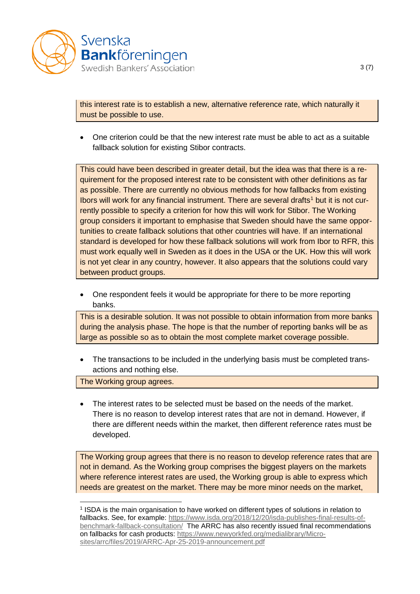

this interest rate is to establish a new, alternative reference rate, which naturally it must be possible to use.

• One criterion could be that the new interest rate must be able to act as a suitable fallback solution for existing Stibor contracts.

This could have been described in greater detail, but the idea was that there is a requirement for the proposed interest rate to be consistent with other definitions as far as possible. There are currently no obvious methods for how fallbacks from existing Ibors will work for any financial instrument. There are several drafts<sup>[1](#page-2-0)</sup> but it is not currently possible to specify a criterion for how this will work for Stibor. The Working group considers it important to emphasise that Sweden should have the same opportunities to create fallback solutions that other countries will have. If an international standard is developed for how these fallback solutions will work from Ibor to RFR, this must work equally well in Sweden as it does in the USA or the UK. How this will work is not yet clear in any country, however. It also appears that the solutions could vary between product groups.

• One respondent feels it would be appropriate for there to be more reporting banks.

This is a desirable solution. It was not possible to obtain information from more banks during the analysis phase. The hope is that the number of reporting banks will be as large as possible so as to obtain the most complete market coverage possible.

• The transactions to be included in the underlying basis must be completed transactions and nothing else.

The Working group agrees.

The interest rates to be selected must be based on the needs of the market. There is no reason to develop interest rates that are not in demand. However, if there are different needs within the market, then different reference rates must be developed.

The Working group agrees that there is no reason to develop reference rates that are not in demand. As the Working group comprises the biggest players on the markets where reference interest rates are used, the Working group is able to express which needs are greatest on the market. There may be more minor needs on the market,

<span id="page-2-0"></span> <sup>1</sup> ISDA is the main organisation to have worked on different types of solutions in relation to fallbacks. See, for example: [https://www.isda.org/2018/12/20/isda-publishes-final-results-of](https://www.isda.org/2018/12/20/isda-publishes-final-results-of-benchmark-fallback-consultation/)[benchmark-fallback-consultation/](https://www.isda.org/2018/12/20/isda-publishes-final-results-of-benchmark-fallback-consultation/) The ARRC has also recently issued final recommendations on fallbacks for cash products: [https://www.newyorkfed.org/medialibrary/Micro](https://www.newyorkfed.org/medialibrary/Microsites/arrc/files/2019/ARRC-Apr-25-2019-announcement.pdf)[sites/arrc/files/2019/ARRC-Apr-25-2019-announcement.pdf](https://www.newyorkfed.org/medialibrary/Microsites/arrc/files/2019/ARRC-Apr-25-2019-announcement.pdf)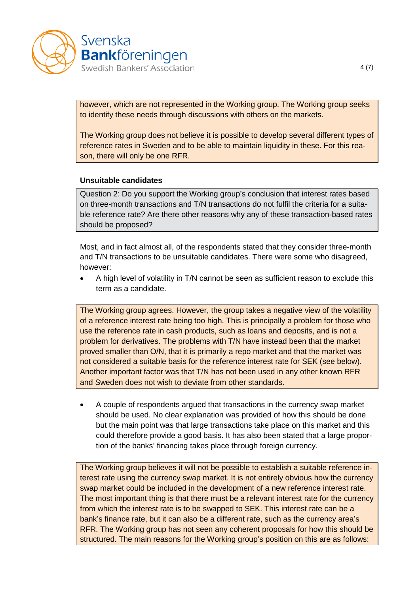

however, which are not represented in the Working group. The Working group seeks to identify these needs through discussions with others on the markets.

The Working group does not believe it is possible to develop several different types of reference rates in Sweden and to be able to maintain liquidity in these. For this reason, there will only be one RFR.

#### **Unsuitable candidates**

Question 2: Do you support the Working group's conclusion that interest rates based on three-month transactions and T/N transactions do not fulfil the criteria for a suitable reference rate? Are there other reasons why any of these transaction-based rates should be proposed?

Most, and in fact almost all, of the respondents stated that they consider three-month and T/N transactions to be unsuitable candidates. There were some who disagreed, however:

• A high level of volatility in T/N cannot be seen as sufficient reason to exclude this term as a candidate.

The Working group agrees. However, the group takes a negative view of the volatility of a reference interest rate being too high. This is principally a problem for those who use the reference rate in cash products, such as loans and deposits, and is not a problem for derivatives. The problems with T/N have instead been that the market proved smaller than O/N, that it is primarily a repo market and that the market was not considered a suitable basis for the reference interest rate for SEK (see below). Another important factor was that T/N has not been used in any other known RFR and Sweden does not wish to deviate from other standards.

• A couple of respondents argued that transactions in the currency swap market should be used. No clear explanation was provided of how this should be done but the main point was that large transactions take place on this market and this could therefore provide a good basis. It has also been stated that a large proportion of the banks' financing takes place through foreign currency.

The Working group believes it will not be possible to establish a suitable reference interest rate using the currency swap market. It is not entirely obvious how the currency swap market could be included in the development of a new reference interest rate. The most important thing is that there must be a relevant interest rate for the currency from which the interest rate is to be swapped to SEK. This interest rate can be a bank's finance rate, but it can also be a different rate, such as the currency area's RFR. The Working group has not seen any coherent proposals for how this should be structured. The main reasons for the Working group's position on this are as follows: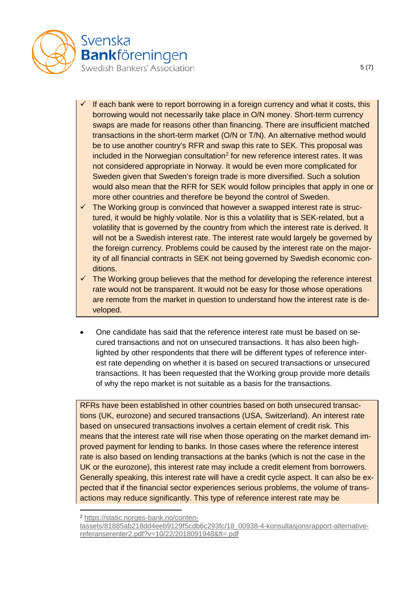

- If each bank were to report borrowing in a foreign currency and what it costs, this borrowing would not necessarily take place in O/N money. Short-term currency swaps are made for reasons other than financing. There are insufficient matched transactions in the short-term market (O/N or T/N). An alternative method would be to use another country's RFR and swap this rate to SEK. This proposal was included in the Norwegian consultation<sup>[2](#page-4-0)</sup> for new reference interest rates. It was not considered appropriate in Norway. It would be even more complicated for Sweden given that Sweden's foreign trade is more diversified. Such a solution would also mean that the RFR for SEK would follow principles that apply in one or more other countries and therefore be beyond the control of Sweden.
- $\checkmark$  The Working group is convinced that however a swapped interest rate is structured, it would be highly volatile. Nor is this a volatility that is SEK-related, but a volatility that is governed by the country from which the interest rate is derived. It will not be a Swedish interest rate. The interest rate would largely be governed by the foreign currency. Problems could be caused by the interest rate on the majority of all financial contracts in SEK not being governed by Swedish economic conditions.
- The Working group believes that the method for developing the reference interest rate would not be transparent. It would not be easy for those whose operations are remote from the market in question to understand how the interest rate is developed.
- One candidate has said that the reference interest rate must be based on secured transactions and not on unsecured transactions. It has also been highlighted by other respondents that there will be different types of reference interest rate depending on whether it is based on secured transactions or unsecured transactions. It has been requested that the Working group provide more details of why the repo market is not suitable as a basis for the transactions.

RFRs have been established in other countries based on both unsecured transactions (UK, eurozone) and secured transactions (USA, Switzerland). An interest rate based on unsecured transactions involves a certain element of credit risk. This means that the interest rate will rise when those operating on the market demand improved payment for lending to banks. In those cases where the reference interest rate is also based on lending transactions at the banks (which is not the case in the UK or the eurozone), this interest rate may include a credit element from borrowers. Generally speaking, this interest rate will have a credit cycle aspect. It can also be expected that if the financial sector experiences serious problems, the volume of transactions may reduce significantly. This type of reference interest rate may be

<span id="page-4-0"></span> <sup>2</sup> [https://static.norges-bank.no/conten-](https://static.norges-bank.no/contentassets/81885ab218dd4eeb9129f5cdb6c293fc/18_00938-4-konsultasjonsrapport-alternative-referanserenter2.pdf?v=10/22/2018091948&ft=.pdf)

[tassets/81885ab218dd4eeb9129f5cdb6c293fc/18\\_00938-4-konsultasjonsrapport-alternative](https://static.norges-bank.no/contentassets/81885ab218dd4eeb9129f5cdb6c293fc/18_00938-4-konsultasjonsrapport-alternative-referanserenter2.pdf?v=10/22/2018091948&ft=.pdf)[referanserenter2.pdf?v=10/22/2018091948&ft=.pdf](https://static.norges-bank.no/contentassets/81885ab218dd4eeb9129f5cdb6c293fc/18_00938-4-konsultasjonsrapport-alternative-referanserenter2.pdf?v=10/22/2018091948&ft=.pdf)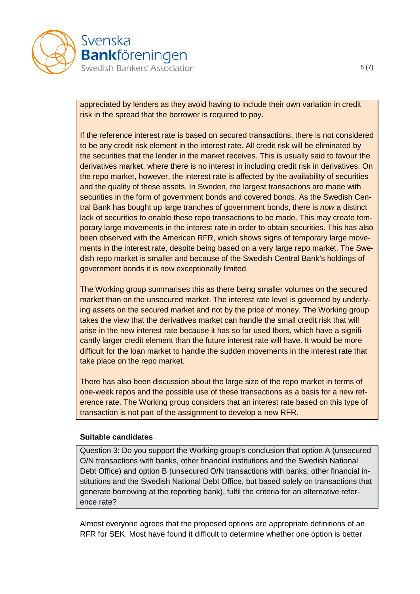

appreciated by lenders as they avoid having to include their own variation in credit risk in the spread that the borrower is required to pay.

If the reference interest rate is based on secured transactions, there is not considered to be any credit risk element in the interest rate. All credit risk will be eliminated by the securities that the lender in the market receives. This is usually said to favour the derivatives market, where there is no interest in including credit risk in derivatives. On the repo market, however, the interest rate is affected by the availability of securities and the quality of these assets. In Sweden, the largest transactions are made with securities in the form of government bonds and covered bonds. As the Swedish Central Bank has bought up large tranches of government bonds, there is *now* a distinct lack of securities to enable these repo transactions to be made. This may create temporary large movements in the interest rate in order to obtain securities. This has also been observed with the American RFR, which shows signs of temporary large movements in the interest rate, despite being based on a very large repo market. The Swedish repo market is smaller and because of the Swedish Central Bank's holdings of government bonds it is now exceptionally limited.

The Working group summarises this as there being smaller volumes on the secured market than on the unsecured market. The interest rate level is governed by underlying assets on the secured market and not by the price of money. The Working group takes the view that the derivatives market can handle the small credit risk that will arise in the new interest rate because it has so far used Ibors, which have a significantly larger credit element than the future interest rate will have. It would be more difficult for the loan market to handle the sudden movements in the interest rate that take place on the repo market.

There has also been discussion about the large size of the repo market in terms of one-week repos and the possible use of these transactions as a basis for a new reference rate. The Working group considers that an interest rate based on this type of transaction is not part of the assignment to develop a new RFR.

#### **Suitable candidates**

Question 3: Do you support the Working group's conclusion that option A (unsecured O/N transactions with banks, other financial institutions and the Swedish National Debt Office) and option B (unsecured O/N transactions with banks, other financial institutions and the Swedish National Debt Office, but based solely on transactions that generate borrowing at the reporting bank), fulfil the criteria for an alternative reference rate?

Almost everyone agrees that the proposed options are appropriate definitions of an RFR for SEK. Most have found it difficult to determine whether one option is better